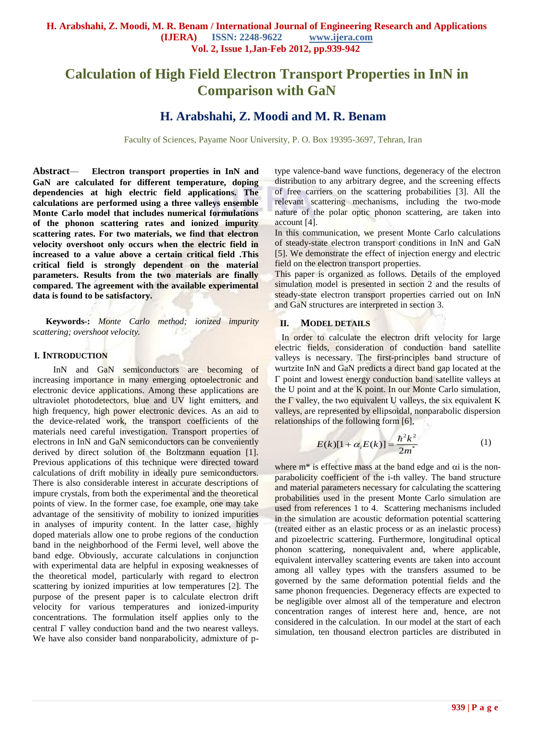# **Calculation of High Field Electron Transport Properties in InN in Comparison with GaN**

## **H. Arabshahi, Z. Moodi and M. R. Benam**

Faculty of Sciences, Payame Noor University, P. O. Box 19395-3697, Tehran, Iran

**Abstract***—* **Electron transport properties in InN and GaN are calculated for different temperature, doping dependencies at high electric field applications. The calculations are performed using a three valleys ensemble Monte Carlo model that includes numerical formulations of the phonon scattering rates and ionized impurity scattering rates. For two materials, we find that electron velocity overshoot only occurs when the electric field in increased to a value above a certain critical field .This critical field is strongly dependent on the material parameters. Results from the two materials are finally compared. The agreement with the available experimental data is found to be satisfactory.**

**Keywords-:** *Monte Carlo method; ionized impurity scattering; overshoot velocity.*

### **I. INTRODUCTION**

InN and GaN semiconductors are becoming of increasing importance in many emerging optoelectronic and electronic device applications. Among these applications are ultraviolet photodetectors, blue and UV light emitters, and high frequency, high power electronic devices. As an aid to the device-related work, the transport coefficients of the materials need careful investigation. Transport properties of electrons in InN and GaN semiconductors can be conveniently derived by direct solution of the Boltzmann equation [1]. Previous applications of this technique were directed toward calculations of drift mobility in ideally pure semiconductors. There is also considerable interest in accurate descriptions of impure crystals, from both the experimental and the theoretical points of view. In the former case, foe example, one may take advantage of the sensitivity of mobility to ionized impurities in analyses of impurity content. In the latter case, highly doped materials allow one to probe regions of the conduction band in the neighborhood of the Fermi level, well above the band edge. Obviously, accurate calculations in conjunction with experimental data are helpful in exposing weaknesses of the theoretical model, particularly with regard to electron scattering by ionized impurities at low temperatures [2]. The purpose of the present paper is to calculate electron drift velocity for various temperatures and ionized-impurity concentrations. The formulation itself applies only to the central  $\Gamma$  valley conduction band and the two nearest valleys. We have also consider band nonparabolicity, admixture of ptype valence-band wave functions, degeneracy of the electron distribution to any arbitrary degree, and the screening effects of free carriers on the scattering probabilities [3]. All the relevant scattering mechanisms, including the two-mode nature of the polar optic phonon scattering, are taken into account [4].

In this communication, we present Monte Carlo calculations of steady-state electron transport conditions in InN and GaN [5]. We demonstrate the effect of injection energy and electric field on the electron transport properties.

This paper is organized as follows. Details of the employed simulation model is presented in section 2 and the results of steady-state electron transport properties carried out on InN and GaN structures are interpreted in section 3.

### **II. MODEL DETAILS**

In order to calculate the electron drift velocity for large electric fields, consideration of conduction band satellite valleys is necessary. The first-principles band structure of wurtzite InN and GaN predicts a direct band gap located at the  $\Gamma$  point and lowest energy conduction band satellite valleys at the U point and at the K point. In our Monte Carlo simulation, the  $\Gamma$  valley, the two equivalent U valleys, the six equivalent K valleys, are represented by ellipsoidal, nonparabolic dispersion relationships of the following form [6],

$$
E(k)[1 + \alpha_i E(k)] = \frac{\hbar^2 k^2}{2m^*}
$$
 (1)

where  $m^*$  is effective mass at the band edge and  $\alpha i$  is the nonparabolicity coefficient of the i-th valley. The band structure and material parameters necessary for calculating the scattering probabilities used in the present Monte Carlo simulation are used from references 1 to 4. Scattering mechanisms included in the simulation are acoustic deformation potential scattering (treated either as an elastic process or as an inelastic process) and pizoelectric scattering. Furthermore, longitudinal optical phonon scattering, nonequivalent and, where applicable, equivalent intervalley scattering events are taken into account among all valley types with the transfers assumed to be governed by the same deformation potential fields and the same phonon frequencies. Degeneracy effects are expected to be negligible over almost all of the temperature and electron concentration ranges of interest here and, hence, are not considered in the calculation. In our model at the start of each simulation, ten thousand electron particles are distributed in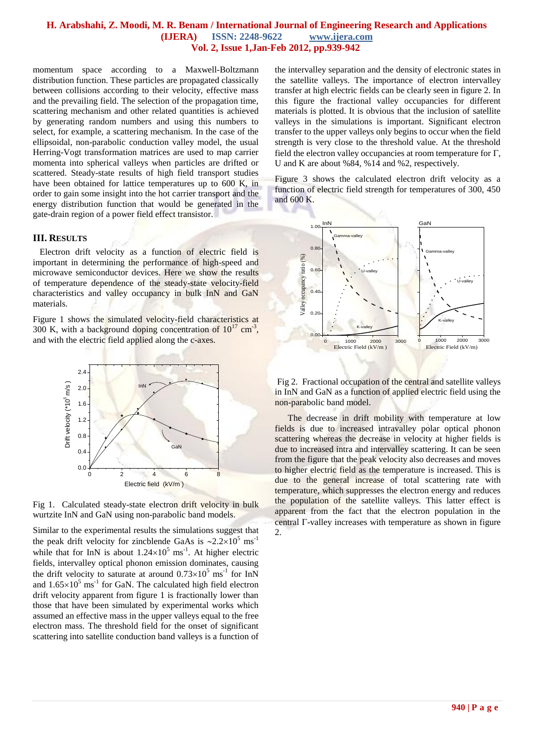## **H. Arabshahi, Z. Moodi, M. R. Benam / International Journal of Engineering Research and Applications (IJERA) ISSN: 2248-9622 www.ijera.com Vol. 2, Issue 1,Jan-Feb 2012, pp.939-942**

momentum space according to a Maxwell-Boltzmann distribution function. These particles are propagated classically between collisions according to their velocity, effective mass and the prevailing field. The selection of the propagation time, scattering mechanism and other related quantities is achieved by generating random numbers and using this numbers to select, for example, a scattering mechanism. In the case of the ellipsoidal, non-parabolic conduction valley model, the usual Herring-Vogt transformation matrices are used to map carrier momenta into spherical valleys when particles are drifted or scattered. Steady-state results of high field transport studies have been obtained for lattice temperatures up to 600 K, in order to gain some insight into the hot carrier transport and the energy distribution function that would be generated in the gate-drain region of a power field effect transistor.

## **III. RESULTS**

 Electron drift velocity as a function of electric field is important in determining the performance of high-speed and microwave semiconductor devices. Here we show the results of temperature dependence of the steady-state velocity-field characteristics and valley occupancy in bulk InN and GaN materials.

Figure 1 shows the simulated velocity-field characteristics at 300 K, with a background doping concentration of  $10^{17}$  cm<sup>-3</sup>, and with the electric field applied along the c-axes.





Similar to the experimental results the simulations suggest that the peak drift velocity for zincblende GaAs is  $\sim 2.2 \times 10^5$  ms<sup>-1</sup> while that for InN is about  $1.24 \times 10^5$  ms<sup>-1</sup>. At higher electric fields, intervalley optical phonon emission dominates, causing the drift velocity to saturate at around  $0.73 \times 10^5$  ms<sup>-1</sup> for InN and  $1.65\times10^{5}$  ms<sup>-1</sup> for GaN. The calculated high field electron drift velocity apparent from figure 1 is fractionally lower than those that have been simulated by experimental works which assumed an effective mass in the upper valleys equal to the free electron mass. The threshold field for the onset of significant scattering into satellite conduction band valleys is a function of

the intervalley separation and the density of electronic states in the satellite valleys. The importance of electron intervalley transfer at high electric fields can be clearly seen in figure 2. In this figure the fractional valley occupancies for different materials is plotted. It is obvious that the inclusion of satellite valleys in the simulations is important. Significant electron transfer to the upper valleys only begins to occur when the field strength is very close to the threshold value. At the threshold field the electron valley occupancies at room temperature for  $\Gamma$ , U and K are about %84, %14 and %2, respectively.

Figure 3 shows the calculated electron drift velocity as a function of electric field strength for temperatures of 300, 450 and 600 K.



Fig 2. Fractional occupation of the central and satellite valleys in InN and GaN as a function of applied electric field using the non-parabolic band model.

The decrease in drift mobility with temperature at low fields is due to increased intravalley polar optical phonon scattering whereas the decrease in velocity at higher fields is due to increased intra and intervalley scattering. It can be seen from the figure that the peak velocity also decreases and moves to higher electric field as the temperature is increased. This is due to the general increase of total scattering rate with temperature, which suppresses the electron energy and reduces the population of the satellite valleys. This latter effect is apparent from the fact that the electron population in the central  $\Gamma$ -valley increases with temperature as shown in figure  $\mathcal{L}$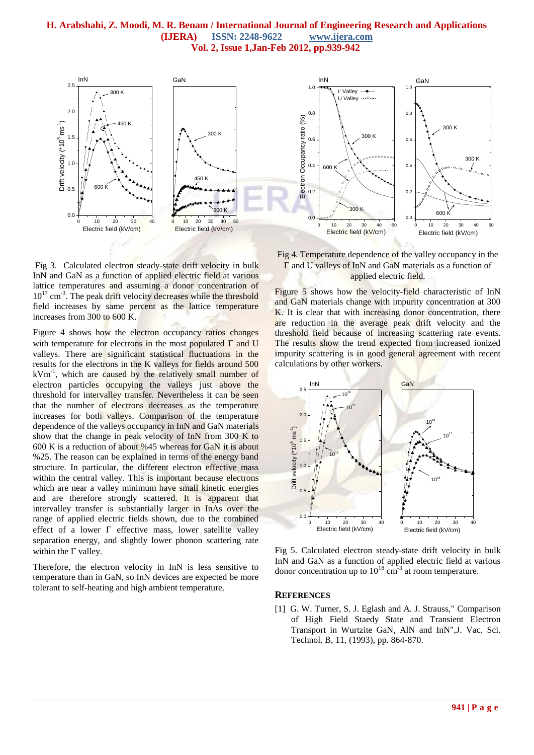## **H. Arabshahi, Z. Moodi, M. R. Benam / International Journal of Engineering Research and Applications (IJERA) ISSN: 2248-9622 www.ijera.com Vol. 2, Issue 1,Jan-Feb 2012, pp.939-942**



Fig 3. Calculated electron steady-state drift velocity in bulk InN and GaN as a function of applied electric field at various lattice temperatures and assuming a donor concentration of 10<sup>17</sup> cm<sup>-3</sup>. The peak drift velocity decreases while the threshold field increases by same percent as the lattice temperature increases from 300 to 600 K.

Figure 4 shows how the electron occupancy ratios changes with temperature for electrons in the most populated  $\Gamma$  and U valleys. There are significant statistical fluctuations in the results for the electrons in the K valleys for fields around 500 kVm-1 , which are caused by the relatively small number of electron particles occupying the valleys just above the threshold for intervalley transfer. Nevertheless it can be seen that the number of electrons decreases as the temperature increases for both valleys. Comparison of the temperature dependence of the valleys occupancy in InN and GaN materials show that the change in peak velocity of InN from 300 K to 600 K is a reduction of about %45 whereas for GaN it is about %25. The reason can be explained in terms of the energy band structure. In particular, the different electron effective mass within the central valley. This is important because electrons which are near a valley minimum have small kinetic energies and are therefore strongly scattered. It is apparent that intervalley transfer is substantially larger in InAs over the range of applied electric fields shown, due to the combined effect of a lower  $\Gamma$  effective mass, lower satellite valley separation energy, and slightly lower phonon scattering rate within the  $\Gamma$  valley.

Therefore, the electron velocity in InN is less sensitive to temperature than in GaN, so InN devices are expected be more tolerant to self-heating and high ambient temperature.

Fig 4. Temperature dependence of the valley occupancy in the  $\Gamma$  and U valleys of InN and GaN materials as a function of applied electric field.

Figure 5 shows how the velocity-field characteristic of InN and GaN materials change with impurity concentration at 300 K. It is clear that with increasing donor concentration, there are reduction in the average peak drift velocity and the threshold field because of increasing scattering rate events. The results show the trend expected from increased ionized impurity scattering is in good general agreement with recent calculations by other workers.



Fig 5. Calculated electron steady-state drift velocity in bulk InN and GaN as a function of applied electric field at various donor concentration up to  $10^{18}$  cm<sup>-3</sup> at room temperature.

### **REFERENCES**

[1] G. W. Turner, S. J. Eglash and A. J. Strauss," Comparison of High Field Staedy State and Transient Electron Transport in Wurtzite GaN, AlN and InN",J. Vac. Sci. Technol. B, 11, (1993), pp. 864-870.